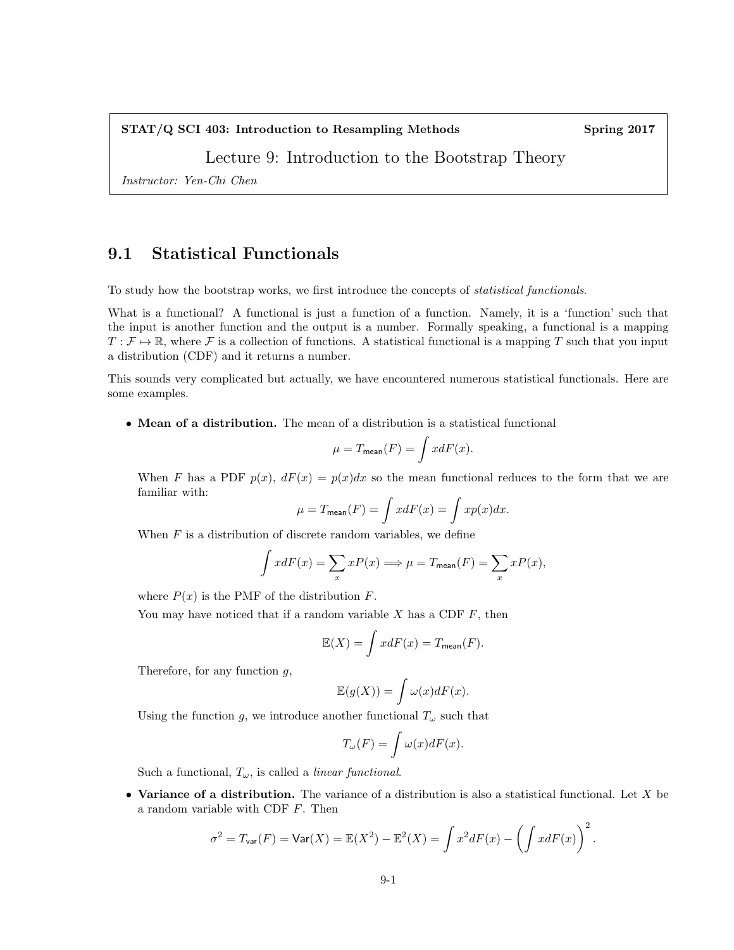#### STAT/Q SCI 403: Introduction to Resampling Methods Spring 2017

# Lecture 9: Introduction to the Bootstrap Theory

Instructor: Yen-Chi Chen

## 9.1 Statistical Functionals

To study how the bootstrap works, we first introduce the concepts of statistical functionals.

What is a functional? A functional is just a function of a function. Namely, it is a 'function' such that the input is another function and the output is a number. Formally speaking, a functional is a mapping  $T : \mathcal{F} \to \mathbb{R}$ , where  $\mathcal{F}$  is a collection of functions. A statistical functional is a mapping T such that you input a distribution (CDF) and it returns a number.

This sounds very complicated but actually, we have encountered numerous statistical functionals. Here are some examples.

• Mean of a distribution. The mean of a distribution is a statistical functional

$$
\mu = T_{\text{mean}}(F) = \int x dF(x).
$$

When F has a PDF  $p(x)$ ,  $dF(x) = p(x)dx$  so the mean functional reduces to the form that we are familiar with:

$$
\mu = T_{\text{mean}}(F) = \int x dF(x) = \int x p(x) dx.
$$

When  $F$  is a distribution of discrete random variables, we define

$$
\int x dF(x) = \sum_{x} x P(x) \Longrightarrow \mu = T_{\text{mean}}(F) = \sum_{x} x P(x),
$$

where  $P(x)$  is the PMF of the distribution F.

You may have noticed that if a random variable  $X$  has a CDF  $F$ , then

$$
\mathbb{E}(X) = \int x dF(x) = T_{\text{mean}}(F).
$$

Therefore, for any function  $q$ ,

$$
\mathbb{E}(g(X)) = \int \omega(x)dF(x).
$$

Using the function g, we introduce another functional  $T_{\omega}$  such that

$$
T_{\omega}(F) = \int \omega(x)dF(x).
$$

Such a functional,  $T_{\omega}$ , is called a *linear functional*.

• Variance of a distribution. The variance of a distribution is also a statistical functional. Let X be a random variable with CDF F. Then

$$
\sigma^2 = T_{\text{var}}(F) = \text{Var}(X) = \mathbb{E}(X^2) - \mathbb{E}^2(X) = \int x^2 dF(x) - \left(\int x dF(x)\right)^2.
$$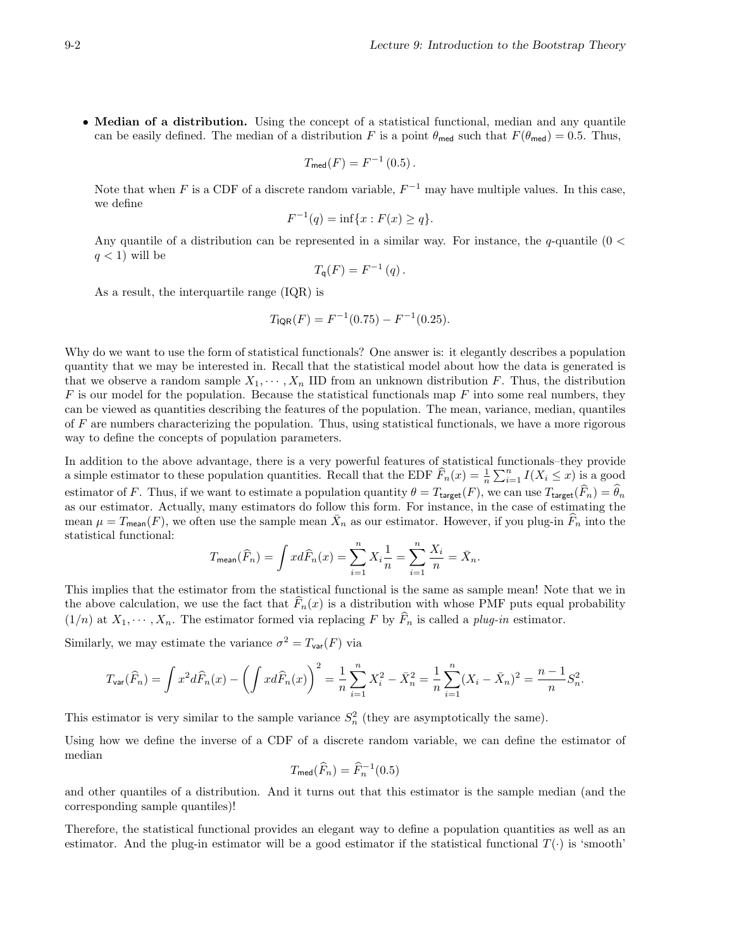• Median of a distribution. Using the concept of a statistical functional, median and any quantile can be easily defined. The median of a distribution F is a point  $\theta_{\text{med}}$  such that  $F(\theta_{\text{med}}) = 0.5$ . Thus,

$$
T_{\text{med}}(F) = F^{-1}(0.5).
$$

Note that when F is a CDF of a discrete random variable,  $F^{-1}$  may have multiple values. In this case, we define

$$
F^{-1}(q) = \inf\{x : F(x) \ge q\}.
$$

Any quantile of a distribution can be represented in a similar way. For instance, the q-quantile  $(0 <$  $q < 1$ ) will be

$$
T_{\mathsf{q}}(F) = F^{-1}(q).
$$

As a result, the interquartile range (IQR) is

$$
T_{\text{IQR}}(F) = F^{-1}(0.75) - F^{-1}(0.25).
$$

Why do we want to use the form of statistical functionals? One answer is: it elegantly describes a population quantity that we may be interested in. Recall that the statistical model about how the data is generated is that we observe a random sample  $X_1, \dots, X_n$  IID from an unknown distribution F. Thus, the distribution  $F$  is our model for the population. Because the statistical functionals map  $F$  into some real numbers, they can be viewed as quantities describing the features of the population. The mean, variance, median, quantiles of F are numbers characterizing the population. Thus, using statistical functionals, we have a more rigorous way to define the concepts of population parameters.

In addition to the above advantage, there is a very powerful features of statistical functionals–they provide a simple estimator to these population quantities. Recall that the EDF  $\widehat{F}_n(x) = \frac{1}{n} \sum_{i=1}^n I(X_i \leq x)$  is a good estimator of F. Thus, if we want to estimate a population quantity  $\theta = T_{\text{target}}(F)$ , we can use  $T_{\text{target}}(\widehat{F}_n) = \widehat{\theta}_n$ as our estimator. Actually, many estimators do follow this form. For instance, in the case of estimating the mean  $\mu = T_{\text{mean}}(F)$ , we often use the sample mean  $\bar{X}_n$  as our estimator. However, if you plug-in  $\widehat{F}_n$  into the statistical functional:

$$
T_{\text{mean}}(\widehat{F}_n) = \int x d\widehat{F}_n(x) = \sum_{i=1}^n X_i \frac{1}{n} = \sum_{i=1}^n \frac{X_i}{n} = \bar{X}_n.
$$

This implies that the estimator from the statistical functional is the same as sample mean! Note that we in the above calculation, we use the fact that  $F_n(x)$  is a distribution with whose PMF puts equal probability  $(1/n)$  at  $X_1, \dots, X_n$ . The estimator formed via replacing F by  $\widehat{F}_n$  is called a plug-in estimator.

Similarly, we may estimate the variance  $\sigma^2 = T_{\text{var}}(F)$  via

$$
T_{\text{var}}(\widehat{F}_n) = \int x^2 d\widehat{F}_n(x) - \left(\int x d\widehat{F}_n(x)\right)^2 = \frac{1}{n} \sum_{i=1}^n X_i^2 - \bar{X}_n^2 = \frac{1}{n} \sum_{i=1}^n (X_i - \bar{X}_n)^2 = \frac{n-1}{n} S_n^2.
$$

This estimator is very similar to the sample variance  $S_n^2$  (they are asymptotically the same).

Using how we define the inverse of a CDF of a discrete random variable, we can define the estimator of median

$$
T_{\text{med}}(\widehat{F}_n) = \widehat{F}_n^{-1}(0.5)
$$

and other quantiles of a distribution. And it turns out that this estimator is the sample median (and the corresponding sample quantiles)!

Therefore, the statistical functional provides an elegant way to define a population quantities as well as an estimator. And the plug-in estimator will be a good estimator if the statistical functional  $T(\cdot)$  is 'smooth'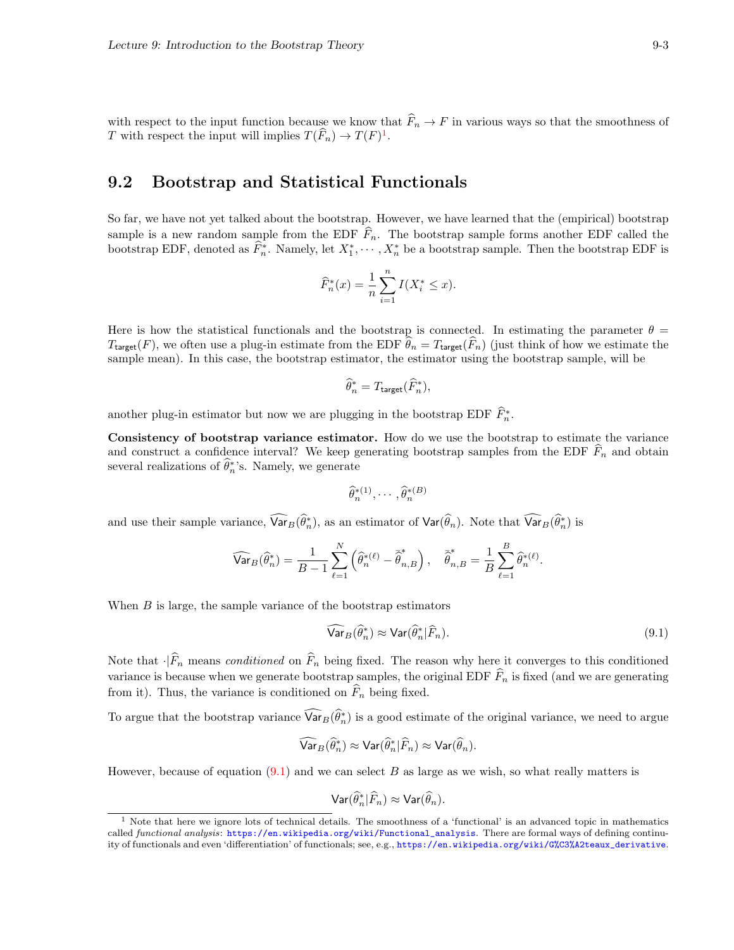with respect to the input function because we know that  $\widehat{F}_n \to F$  in various ways so that the smoothness of T with respect the input will implies  $T(\widehat{F}_n) \to T(F)^1$  $T(\widehat{F}_n) \to T(F)^1$ .

### 9.2 Bootstrap and Statistical Functionals

So far, we have not yet talked about the bootstrap. However, we have learned that the (empirical) bootstrap sample is a new random sample from the EDF  $\widehat{F}_n$ . The bootstrap sample forms another EDF called the bootstrap EDF, denoted as  $\widehat{F}_n^*$ . Namely, let  $X_1^*, \cdots, X_n^*$  be a bootstrap sample. Then the bootstrap EDF is

$$
\widehat{F}_n^*(x) = \frac{1}{n} \sum_{i=1}^n I(X_i^* \le x).
$$

Here is how the statistical functionals and the bootstrap is connected. In estimating the parameter  $\theta =$  $T_{\text{target}}(F)$ , we often use a plug-in estimate from the EDF  $\widehat{\theta}_n = T_{\text{target}}(\widehat{F}_n)$  (just think of how we estimate the sample mean). In this case, the bootstrap estimator, the estimator using the bootstrap sample, will be

$$
\widehat{\theta}_n^* = T_{\text{target}}(\widehat{F}_n^*),
$$

another plug-in estimator but now we are plugging in the bootstrap EDF  $\widehat{F}_{n}^{*}$ .

Consistency of bootstrap variance estimator. How do we use the bootstrap to estimate the variance and construct a confidence interval? We keep generating bootstrap samples from the EDF  $F_n$  and obtain several realizations of  $\hat{\theta}_n^*$ 's. Namely, we generate

$$
\widehat{\theta}_n^{*(1)}, \cdots, \widehat{\theta}_n^{*(B)}
$$

and use their sample variance,  $\widehat{\text{Var}}_B(\widehat{\theta}_n^*)$ , as an estimator of  $\text{Var}(\widehat{\theta}_n)$ . Note that  $\widehat{\text{Var}}_B(\widehat{\theta}_n^*)$  is

$$
\widehat{\text{Var}}_B(\widehat{\theta}_n^*) = \frac{1}{B-1} \sum_{\ell=1}^N \left( \widehat{\theta}_n^{*(\ell)} - \overline{\widehat{\theta}}_{n,B}^* \right), \quad \overline{\widehat{\theta}}_{n,B}^* = \frac{1}{B} \sum_{\ell=1}^B \widehat{\theta}_n^{*(\ell)}.
$$

When  $B$  is large, the sample variance of the bootstrap estimators

<span id="page-2-1"></span>
$$
\widehat{\text{Var}}_B(\widehat{\theta}_n^*) \approx \text{Var}(\widehat{\theta}_n^*|\widehat{F}_n). \tag{9.1}
$$

Note that  $\cdot|\widehat{F}_n$  means *conditioned* on  $\widehat{F}_n$  being fixed. The reason why here it converges to this conditioned variance is because when we generate bootstrap samples, the original EDF  $\widehat{F}_n$  is fixed (and we are generating from it). Thus, the variance is conditioned on  $\widehat{F}_n$  being fixed.

To argue that the bootstrap variance  $\widehat{\text{Var}}_B(\widehat{\theta}_n^*)$  is a good estimate of the original variance, we need to argue

$$
\widehat{\text{Var}}_B(\widehat{\theta}_n^*) \approx \text{Var}(\widehat{\theta}_n^*|\widehat{F}_n) \approx \text{Var}(\widehat{\theta}_n).
$$

However, because of equation  $(9.1)$  and we can select B as large as we wish, so what really matters is

$$
\textsf{Var}(\widehat{\theta}_n^*|\widehat{F}_n) \approx \textsf{Var}(\widehat{\theta}_n).
$$

<span id="page-2-0"></span><sup>1</sup> Note that here we ignore lots of technical details. The smoothness of a 'functional' is an advanced topic in mathematics called functional analysis: [https://en.wikipedia.org/wiki/Functional\\_analysis](https://en.wikipedia.org/wiki/Functional_analysis). There are formal ways of defining continuity of functionals and even 'differentiation' of functionals; see, e.g., [https://en.wikipedia.org/wiki/G%C3%A2teaux\\_derivative](https://en.wikipedia.org/wiki/G%C3%A2teaux_derivative).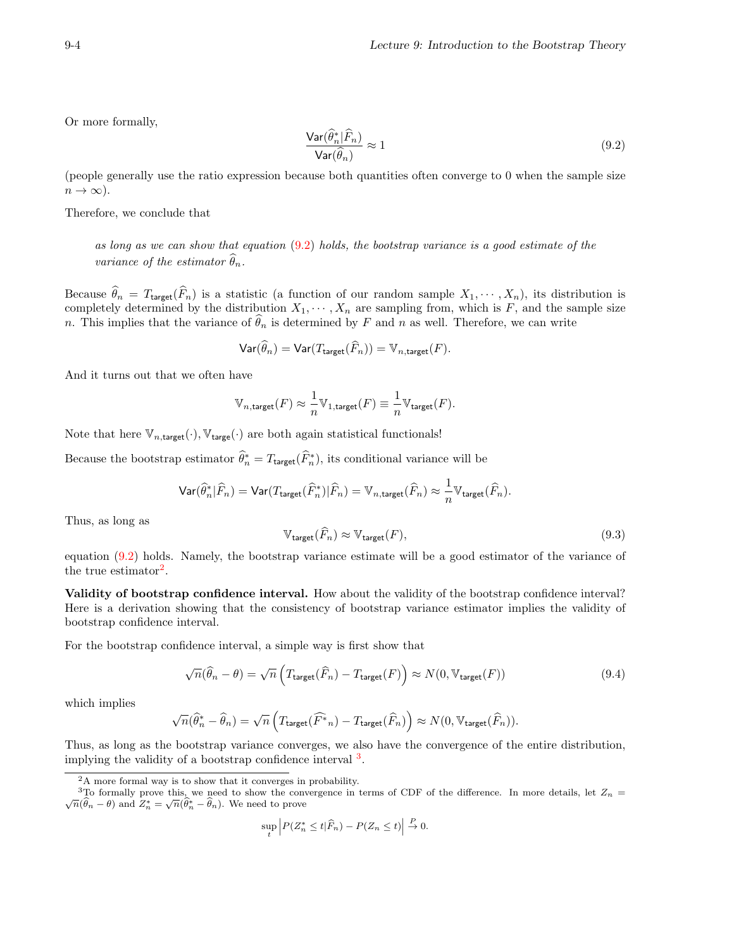Or more formally,

<span id="page-3-0"></span>
$$
\frac{\text{Var}(\hat{\theta}_n^* | \hat{F}_n)}{\text{Var}(\hat{\theta}_n)} \approx 1
$$
\n(9.2)

(people generally use the ratio expression because both quantities often converge to 0 when the sample size  $n \to \infty$ ).

Therefore, we conclude that

as long as we can show that equation  $(9.2)$  holds, the bootstrap variance is a good estimate of the variance of the estimator  $\widehat{\theta}_n$ .

Because  $\widehat{\theta}_n = T_{\text{target}}(\widehat{F}_n)$  is a statistic (a function of our random sample  $X_1, \dots, X_n$ ), its distribution is completely determined by the distribution  $X_1, \dots, X_n$  are sampling from, which is F, and the sample size n. This implies that the variance of  $\hat{\theta}_n$  is determined by F and n as well. Therefore, we can write

$$
\text{Var}(\widehat{\theta}_n) = \text{Var}(T_{\text{target}}(\widehat{F}_n)) = \mathbb{V}_{n,\text{target}}(F).
$$

And it turns out that we often have

$$
\mathbb{V}_{n,\text{target}}(F) \approx \frac{1}{n} \mathbb{V}_{1,\text{target}}(F) \equiv \frac{1}{n} \mathbb{V}_{\text{target}}(F).
$$

Note that here  $\mathbb{V}_{n,\text{target}}(\cdot)$ ,  $\mathbb{V}_{\text{target}}(\cdot)$  are both again statistical functionals!

Because the bootstrap estimator  $\hat{\theta}_n^* = T_{\text{target}}(\hat{F}_n^*)$ , its conditional variance will be

$$
\text{Var}(\widehat{\theta}^*_n | \widehat{F}_n) = \text{Var}(T_{\text{target}}(\widehat{F}^*_n) | \widehat{F}_n) = \mathbb{V}_{n,\text{target}}(\widehat{F}_n) \approx \frac{1}{n} \mathbb{V}_{\text{target}}(\widehat{F}_n).
$$

Thus, as long as

<span id="page-3-4"></span>
$$
\mathbb{V}_{\text{target}}(\widehat{F}_n) \approx \mathbb{V}_{\text{target}}(F),\tag{9.3}
$$

equation [\(9.2\)](#page-3-0) holds. Namely, the bootstrap variance estimate will be a good estimator of the variance of the true estimator<sup>[2](#page-3-1)</sup>.

Validity of bootstrap confidence interval. How about the validity of the bootstrap confidence interval? Here is a derivation showing that the consistency of bootstrap variance estimator implies the validity of bootstrap confidence interval.

For the bootstrap confidence interval, a simple way is first show that

<span id="page-3-3"></span>
$$
\sqrt{n}(\widehat{\theta}_n - \theta) = \sqrt{n} \left( T_{\text{target}}(\widehat{F}_n) - T_{\text{target}}(F) \right) \approx N(0, \mathbb{V}_{\text{target}}(F))
$$
\n(9.4)

which implies

$$
\sqrt{n}(\widehat{\theta}_n^*-\widehat{\theta}_n)=\sqrt{n}\left(T_{\text{target}}(\widehat{F^*}_n)-T_{\text{target}}(\widehat{F}_n)\right)\approx N(0,\mathbb{V}_{\text{target}}(\widehat{F}_n)).
$$

Thus, as long as the bootstrap variance converges, we also have the convergence of the entire distribution, implying the validity of a bootstrap confidence interval <sup>[3](#page-3-2)</sup>.

$$
\sup_{t} \left| P(Z_n^* \le t | \widehat{F}_n) - P(Z_n \le t) \right| \stackrel{P}{\to} 0.
$$

<span id="page-3-2"></span><span id="page-3-1"></span><sup>2</sup>A more formal way is to show that it converges in probability.

<sup>&</sup>lt;sup>3</sup>To formally prove this, we need to show the convergence in terms of CDF of the difference. In more details, let  $Z_n = \overline{\bigcap_{n=0}^{\infty} \bigcap_{n=1}^{\infty} \overline{\bigcap_{n=0}^{\infty} \bigcap_{n=0}^{\infty} \bigcap_{n=0}^{\infty} \bigcap_{n=0}^{\infty} \bigcap_{n=0}^{\infty} \bigcap_{n$  $\frac{\partial}{\partial n}(\hat{\theta}_n - \theta)$  and  $Z_n^* = \sqrt{n}(\hat{\theta}_n^* - \hat{\theta}_n)$ . We need to prove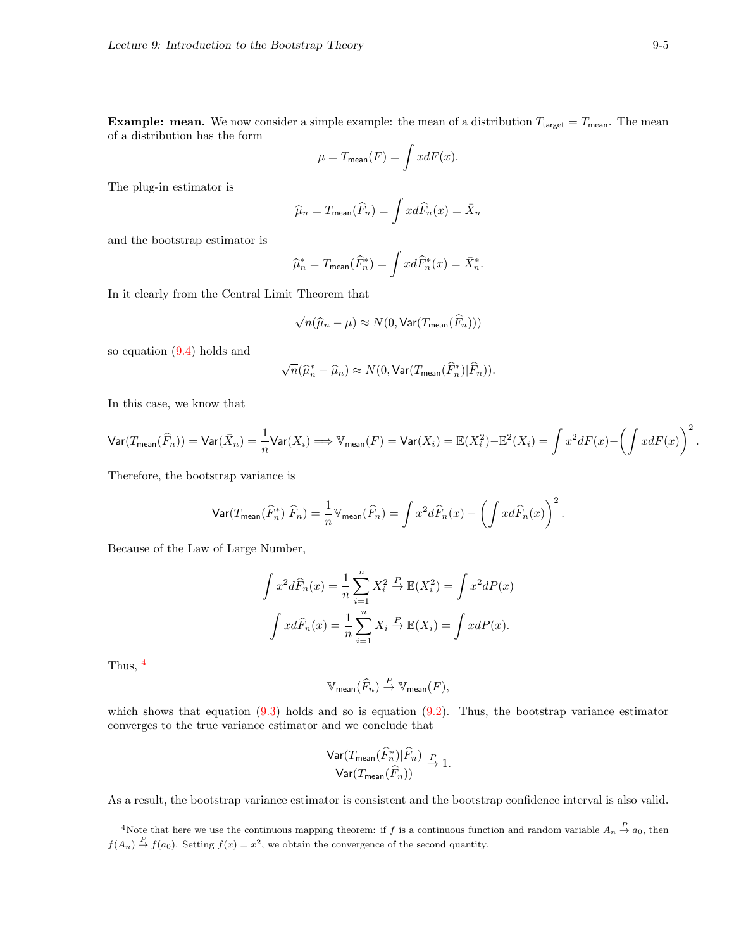**Example: mean.** We now consider a simple example: the mean of a distribution  $T_{\text{target}} = T_{\text{mean}}$ . The mean of a distribution has the form

$$
\mu = T_{\text{mean}}(F) = \int x dF(x).
$$

The plug-in estimator is

$$
\widehat{\mu}_n = T_{\text{mean}}(\widehat{F}_n) = \int x d\widehat{F}_n(x) = \bar{X}_n
$$

and the bootstrap estimator is

$$
\widehat{\mu}_n^* = T_{\text{mean}}(\widehat{F}_n^*) = \int x d\widehat{F}_n^*(x) = \bar{X}_n^*.
$$

In it clearly from the Central Limit Theorem that

$$
\sqrt{n}(\widehat{\mu}_n-\mu)\approx N(0,\text{Var}(T_{\text{mean}}(\widehat{F}_n)))
$$

so equation [\(9.4\)](#page-3-3) holds and

$$
\sqrt{n}(\widehat{\mu}_n^*-\widehat{\mu}_n) \approx N(0, \text{Var}(T_{\text{mean}}(\widehat{F}_n^*)|\widehat{F}_n)).
$$

In this case, we know that

$$
\text{Var}(T_{\text{mean}}(\widehat{F}_n)) = \text{Var}(\bar{X}_n) = \frac{1}{n} \text{Var}(X_i) \Longrightarrow \mathbb{V}_{\text{mean}}(F) = \text{Var}(X_i) = \mathbb{E}(X_i^2) - \mathbb{E}^2(X_i) = \int x^2 dF(x) - \left(\int x dF(x)\right)^2
$$

Therefore, the bootstrap variance is

$$
\text{Var}(T_{\text{mean}}(\widehat{F}_n^*)|\widehat{F}_n) = \frac{1}{n} \mathbb{V}_{\text{mean}}(\widehat{F}_n) = \int x^2 d\widehat{F}_n(x) - \left(\int x d\widehat{F}_n(x)\right)^2.
$$

Because of the Law of Large Number,

$$
\int x^2 d\widehat{F}_n(x) = \frac{1}{n} \sum_{i=1}^n X_i^2 \stackrel{P}{\to} \mathbb{E}(X_i^2) = \int x^2 dP(x)
$$

$$
\int x d\widehat{F}_n(x) = \frac{1}{n} \sum_{i=1}^n X_i \stackrel{P}{\to} \mathbb{E}(X_i) = \int x dP(x).
$$

Thus, [4](#page-4-0)

$$
\mathbb{V}_{\mathsf{mean}}(\widehat{F}_n) \stackrel{P}{\to} \mathbb{V}_{\mathsf{mean}}(F),
$$

which shows that equation  $(9.3)$  holds and so is equation  $(9.2)$ . Thus, the bootstrap variance estimator converges to the true variance estimator and we conclude that

$$
\frac{\text{Var}(T_{\text{mean}}(\widehat{F}_n^*)|\widehat{F}_n)}{\text{Var}(T_{\text{mean}}(\widehat{F}_n))} \stackrel{P}{\to} 1.
$$

As a result, the bootstrap variance estimator is consistent and the bootstrap confidence interval is also valid.

.

<span id="page-4-0"></span><sup>&</sup>lt;sup>4</sup>Note that here we use the continuous mapping theorem: if f is a continuous function and random variable  $A_n \stackrel{P}{\rightarrow} a_0$ , then  $f(A_n) \stackrel{P}{\rightarrow} f(a_0)$ . Setting  $f(x) = x^2$ , we obtain the convergence of the second quantity.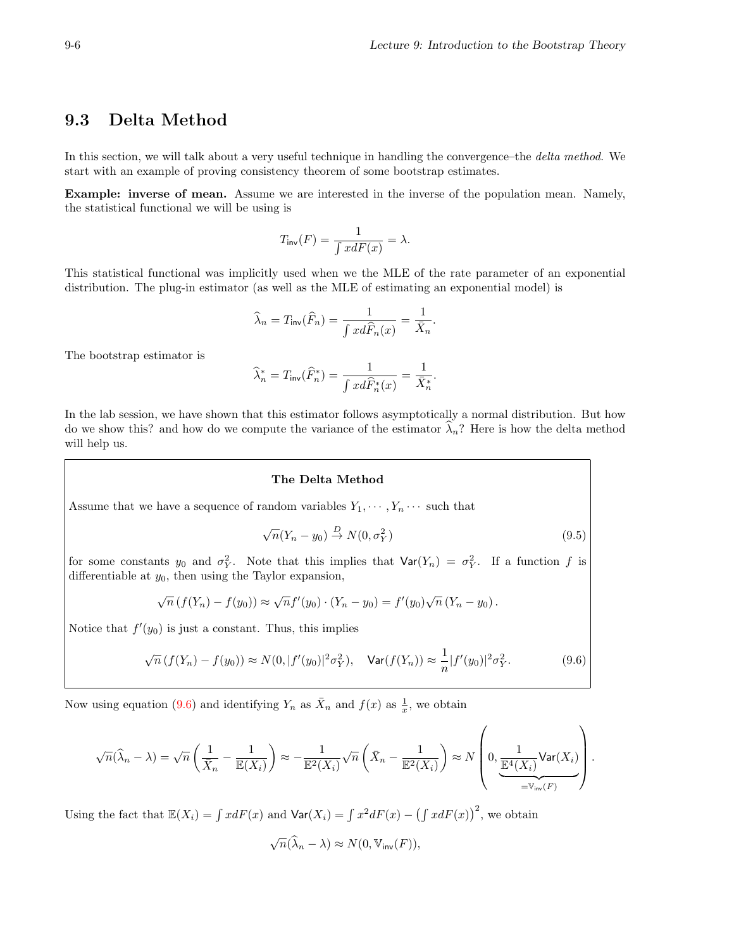## 9.3 Delta Method

In this section, we will talk about a very useful technique in handling the convergence–the delta method. We start with an example of proving consistency theorem of some bootstrap estimates.

Example: inverse of mean. Assume we are interested in the inverse of the population mean. Namely, the statistical functional we will be using is

$$
T_{\text{inv}}(F) = \frac{1}{\int x dF(x)} = \lambda.
$$

This statistical functional was implicitly used when we the MLE of the rate parameter of an exponential distribution. The plug-in estimator (as well as the MLE of estimating an exponential model) is

$$
\widehat{\lambda}_n = T_{\mathsf{inv}}(\widehat{F}_n) = \frac{1}{\int x d\widehat{F}_n(x)} = \frac{1}{\bar{X}_n}.
$$

The bootstrap estimator is

$$
\widehat{\lambda}_n^* = T_{\textrm{inv}}(\widehat{F}_n^*) = \frac{1}{\int x d\widehat{F}_n^*(x)} = \frac{1}{\bar{X}_n^*}.
$$

In the lab session, we have shown that this estimator follows asymptotically a normal distribution. But how do we show this? and how do we compute the variance of the estimator  $\lambda_n$ ? Here is how the delta method will help us.

#### The Delta Method

Assume that we have a sequence of random variables  $Y_1, \dots, Y_n \dots$  such that

$$
\sqrt{n}(Y_n - y_0) \stackrel{D}{\to} N(0, \sigma_Y^2)
$$
\n(9.5)

for some constants  $y_0$  and  $\sigma_Y^2$ . Note that this implies that  $\text{Var}(Y_n) = \sigma_Y^2$ . If a function f is differentiable at  $y_0$ , then using the Taylor expansion,

$$
\sqrt{n} (f(Y_n) - f(y_0)) \approx \sqrt{n} f'(y_0) \cdot (Y_n - y_0) = f'(y_0) \sqrt{n} (Y_n - y_0).
$$

Notice that  $f'(y_0)$  is just a constant. Thus, this implies

<span id="page-5-0"></span>
$$
\sqrt{n} \left( f(Y_n) - f(y_0) \right) \approx N(0, |f'(y_0)|^2 \sigma_Y^2), \quad \text{Var}(f(Y_n)) \approx \frac{1}{n} |f'(y_0)|^2 \sigma_Y^2. \tag{9.6}
$$

Now using equation [\(9.6\)](#page-5-0) and identifying  $Y_n$  as  $\bar{X}_n$  and  $f(x)$  as  $\frac{1}{x}$ , we obtain

$$
\sqrt{n}(\widehat{\lambda}_n - \lambda) = \sqrt{n} \left( \frac{1}{\bar{X}_n} - \frac{1}{\mathbb{E}(X_i)} \right) \approx -\frac{1}{\mathbb{E}^2(X_i)} \sqrt{n} \left( \bar{X}_n - \frac{1}{\mathbb{E}^2(X_i)} \right) \approx N \left( 0, \underbrace{\frac{1}{\mathbb{E}^4(X_i)} \text{Var}(X_i)}_{= \mathbb{V}_{\text{inv}}(F)} \right).
$$

Using the fact that  $\mathbb{E}(X_i) = \int x dF(x)$  and  $\text{Var}(X_i) = \int x^2 dF(x) - (\int x dF(x))^2$ , we obtain

$$
\sqrt{n}(\widehat{\lambda}_n-\lambda) \approx N(0, \mathbb{V}_{\text{inv}}(F)),
$$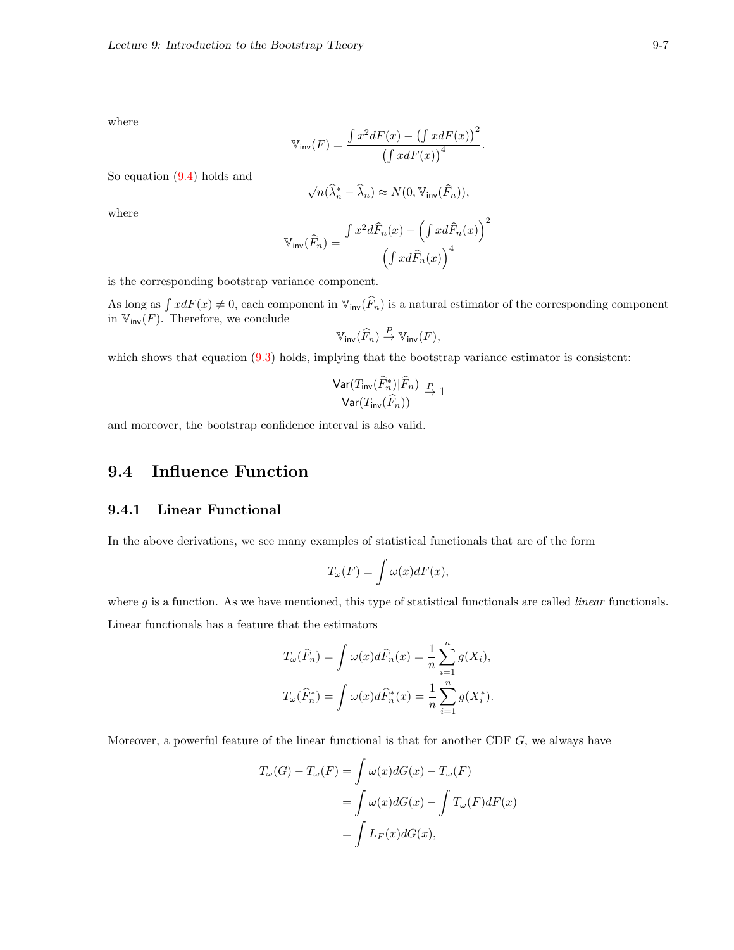where

$$
\mathbb{V}_{\text{inv}}(F) = \frac{\int x^2 dF(x) - (\int x dF(x))^2}{(\int x dF(x))^4}
$$

.

So equation [\(9.4\)](#page-3-3) holds and

$$
\sqrt{n}(\widehat{\lambda}^*_n-\widehat{\lambda}_n)\approx N\big(0,\mathbb{V}_{\operatorname{inv}}(\widehat{F}_n)\big),
$$

where

$$
\mathbb{V}_{\text{inv}}(\widehat{F}_n) = \frac{\int x^2 d\widehat{F}_n(x) - \left(\int x d\widehat{F}_n(x)\right)^2}{\left(\int x d\widehat{F}_n(x)\right)^4}
$$

is the corresponding bootstrap variance component.

As long as  $\int x dF(x) \neq 0$ , each component in  $\mathbb{V}_{inv}(\widehat{F}_n)$  is a natural estimator of the corresponding component in  $\mathbb{V}_{\mathsf{inv}}(F)$ . Therefore, we conclude  $\overline{p}$ 

$$
\mathbb{V}_{\text{inv}}(\widehat{F}_n) \stackrel{P}{\to} \mathbb{V}_{\text{inv}}(F),
$$

which shows that equation  $(9.3)$  holds, implying that the bootstrap variance estimator is consistent:

$$
\frac{\text{Var}(T_{\text{inv}}(\widehat{F}_n^*)|\widehat{F}_n)}{\text{Var}(T_{\text{inv}}(\widehat{F}_n))} \stackrel{P}{\to} 1
$$

and moreover, the bootstrap confidence interval is also valid.

# 9.4 Influence Function

#### 9.4.1 Linear Functional

In the above derivations, we see many examples of statistical functionals that are of the form

$$
T_{\omega}(F) = \int \omega(x) dF(x),
$$

where  $g$  is a function. As we have mentioned, this type of statistical functionals are called *linear* functionals. Linear functionals has a feature that the estimators

$$
T_{\omega}(\widehat{F}_n) = \int \omega(x) d\widehat{F}_n(x) = \frac{1}{n} \sum_{i=1}^n g(X_i),
$$
  

$$
T_{\omega}(\widehat{F}_n^*) = \int \omega(x) d\widehat{F}_n^*(x) = \frac{1}{n} \sum_{i=1}^n g(X_i^*).
$$

Moreover, a powerful feature of the linear functional is that for another CDF  $G$ , we always have

$$
T_{\omega}(G) - T_{\omega}(F) = \int \omega(x) dG(x) - T_{\omega}(F)
$$
  
= 
$$
\int \omega(x) dG(x) - \int T_{\omega}(F) dF(x)
$$
  
= 
$$
\int L_F(x) dG(x),
$$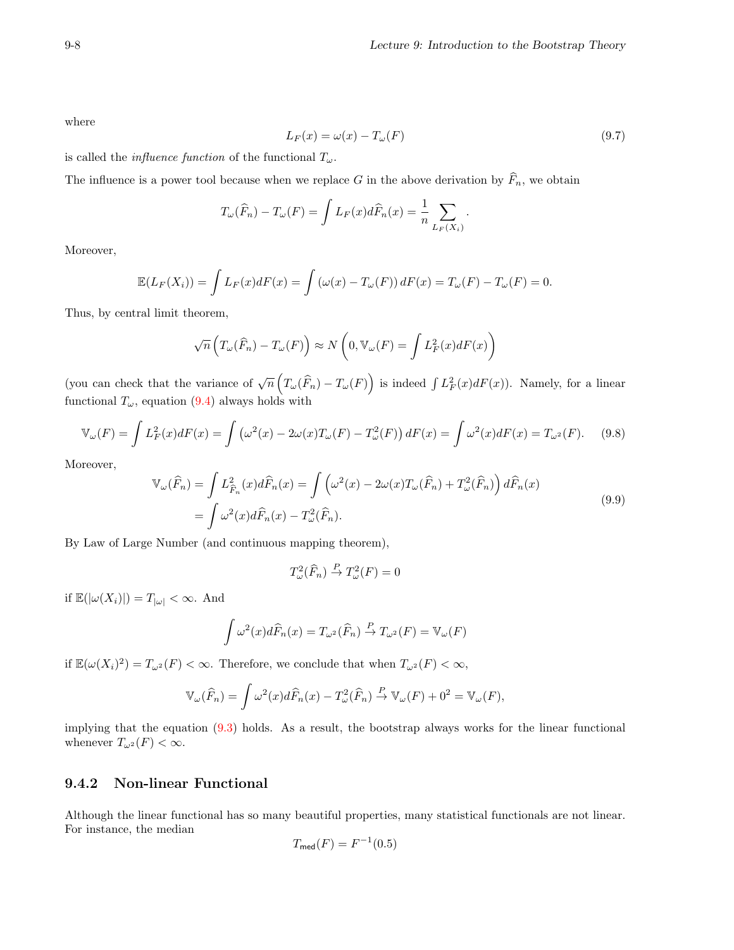where

$$
L_F(x) = \omega(x) - T_{\omega}(F) \tag{9.7}
$$

is called the *influence function* of the functional  $T_{\omega}$ .

The influence is a power tool because when we replace G in the above derivation by  $\widehat{F}_n$ , we obtain

$$
T_{\omega}(\widehat{F}_n) - T_{\omega}(F) = \int L_F(x) d\widehat{F}_n(x) = \frac{1}{n} \sum_{L_F(X_i)}.
$$

Moreover,

$$
\mathbb{E}(L_F(X_i)) = \int L_F(x)dF(x) = \int (\omega(x) - T_\omega(F))dF(x) = T_\omega(F) - T_\omega(F) = 0.
$$

Thus, by central limit theorem,

$$
\sqrt{n}\left(T_{\omega}(\widehat{F}_n) - T_{\omega}(F)\right) \approx N\left(0, \mathbb{V}_{\omega}(F) = \int L_F^2(x)dF(x)\right)
$$

(you can check that the variance of  $\sqrt{n}\left(T_\omega(\widehat{F}_n) - T_\omega(F)\right)$  is indeed  $\int L_F^2(x)dF(x)$ ). Namely, for a linear functional  $T_{\omega}$ , equation [\(9.4\)](#page-3-3) always holds with

<span id="page-7-0"></span>
$$
\mathbb{V}_{\omega}(F) = \int L_F^2(x)dF(x) = \int \left(\omega^2(x) - 2\omega(x)T_{\omega}(F) - T_{\omega}^2(F)\right)dF(x) = \int \omega^2(x)dF(x) = T_{\omega^2}(F). \tag{9.8}
$$

Moreover,

<span id="page-7-1"></span>
$$
\mathbb{V}_{\omega}(\widehat{F}_n) = \int L_{\widehat{F}_n}^2(x) d\widehat{F}_n(x) = \int \left(\omega^2(x) - 2\omega(x) T_{\omega}(\widehat{F}_n) + T_{\omega}^2(\widehat{F}_n)\right) d\widehat{F}_n(x)
$$
  
= 
$$
\int \omega^2(x) d\widehat{F}_n(x) - T_{\omega}^2(\widehat{F}_n).
$$
 (9.9)

By Law of Large Number (and continuous mapping theorem),

$$
T_{\omega}^2(\widehat{F}_n) \stackrel{P}{\to} T_{\omega}^2(F) = 0
$$

if  $\mathbb{E}(|\omega(X_i)|) = T_{|\omega|} < \infty$ . And

$$
\int \omega^2(x) d\widehat{F}_n(x) = T_{\omega^2}(\widehat{F}_n) \stackrel{P}{\to} T_{\omega^2}(F) = \mathbb{V}_{\omega}(F)
$$

if  $\mathbb{E}(\omega(X_i)^2) = T_{\omega^2}(F) < \infty$ . Therefore, we conclude that when  $T_{\omega^2}(F) < \infty$ ,

$$
\mathbb{V}_{\omega}(\widehat{F}_n) = \int \omega^2(x) d\widehat{F}_n(x) - T_{\omega}^2(\widehat{F}_n) \stackrel{P}{\to} \mathbb{V}_{\omega}(F) + 0^2 = \mathbb{V}_{\omega}(F),
$$

implying that the equation [\(9.3\)](#page-3-4) holds. As a result, the bootstrap always works for the linear functional whenever  $T_{\omega^2}(F) < \infty$ .

### 9.4.2 Non-linear Functional

Although the linear functional has so many beautiful properties, many statistical functionals are not linear. For instance, the median

$$
T_{\text{med}}(F) = F^{-1}(0.5)
$$